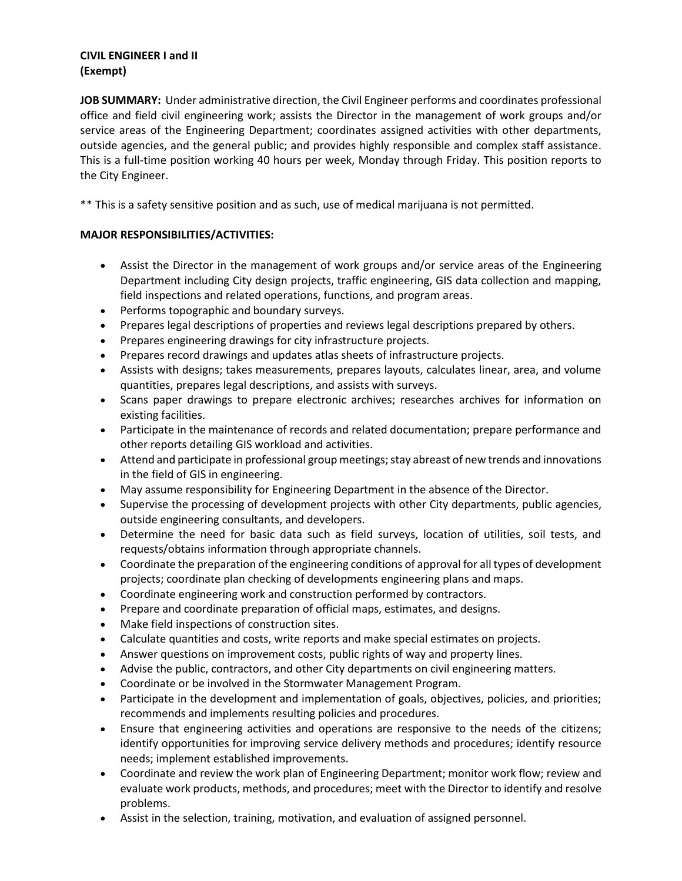### **CIVIL ENGINEER I and II (Exempt)**

**JOB SUMMARY:** Under administrative direction, the Civil Engineer performs and coordinates professional office and field civil engineering work; assists the Director in the management of work groups and/or service areas of the Engineering Department; coordinates assigned activities with other departments, outside agencies, and the general public; and provides highly responsible and complex staff assistance. This is a full-time position working 40 hours per week, Monday through Friday. This position reports to the City Engineer.

\*\* This is a safety sensitive position and as such, use of medical marijuana is not permitted.

# **MAJOR RESPONSIBILITIES/ACTIVITIES:**

- Assist the Director in the management of work groups and/or service areas of the Engineering Department including City design projects, traffic engineering, GIS data collection and mapping, field inspections and related operations, functions, and program areas.
- Performs topographic and boundary surveys.
- Prepares legal descriptions of properties and reviews legal descriptions prepared by others.
- Prepares engineering drawings for city infrastructure projects.
- Prepares record drawings and updates atlas sheets of infrastructure projects.
- Assists with designs; takes measurements, prepares layouts, calculates linear, area, and volume quantities, prepares legal descriptions, and assists with surveys.
- Scans paper drawings to prepare electronic archives; researches archives for information on existing facilities.
- Participate in the maintenance of records and related documentation; prepare performance and other reports detailing GIS workload and activities.
- Attend and participate in professional group meetings; stay abreast of new trends and innovations in the field of GIS in engineering.
- May assume responsibility for Engineering Department in the absence of the Director.
- Supervise the processing of development projects with other City departments, public agencies, outside engineering consultants, and developers.
- Determine the need for basic data such as field surveys, location of utilities, soil tests, and requests/obtains information through appropriate channels.
- Coordinate the preparation of the engineering conditions of approval for all types of development projects; coordinate plan checking of developments engineering plans and maps.
- Coordinate engineering work and construction performed by contractors.
- Prepare and coordinate preparation of official maps, estimates, and designs.
- Make field inspections of construction sites.
- Calculate quantities and costs, write reports and make special estimates on projects.
- Answer questions on improvement costs, public rights of way and property lines.
- Advise the public, contractors, and other City departments on civil engineering matters.
- Coordinate or be involved in the Stormwater Management Program.
- Participate in the development and implementation of goals, objectives, policies, and priorities; recommends and implements resulting policies and procedures.
- Ensure that engineering activities and operations are responsive to the needs of the citizens; identify opportunities for improving service delivery methods and procedures; identify resource needs; implement established improvements.
- Coordinate and review the work plan of Engineering Department; monitor work flow; review and evaluate work products, methods, and procedures; meet with the Director to identify and resolve problems.
- Assist in the selection, training, motivation, and evaluation of assigned personnel.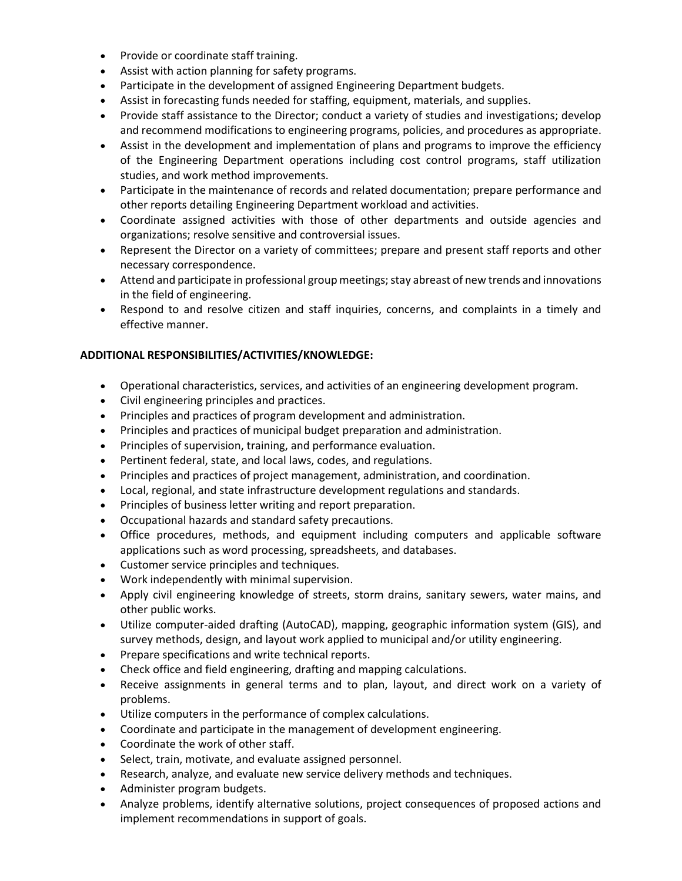- Provide or coordinate staff training.
- Assist with action planning for safety programs.
- Participate in the development of assigned Engineering Department budgets.
- Assist in forecasting funds needed for staffing, equipment, materials, and supplies.
- Provide staff assistance to the Director; conduct a variety of studies and investigations; develop and recommend modifications to engineering programs, policies, and procedures as appropriate.
- Assist in the development and implementation of plans and programs to improve the efficiency of the Engineering Department operations including cost control programs, staff utilization studies, and work method improvements.
- Participate in the maintenance of records and related documentation; prepare performance and other reports detailing Engineering Department workload and activities.
- Coordinate assigned activities with those of other departments and outside agencies and organizations; resolve sensitive and controversial issues.
- Represent the Director on a variety of committees; prepare and present staff reports and other necessary correspondence.
- Attend and participate in professional group meetings; stay abreast of new trends and innovations in the field of engineering.
- Respond to and resolve citizen and staff inquiries, concerns, and complaints in a timely and effective manner.

# **ADDITIONAL RESPONSIBILITIES/ACTIVITIES/KNOWLEDGE:**

- Operational characteristics, services, and activities of an engineering development program.
- Civil engineering principles and practices.
- Principles and practices of program development and administration.
- Principles and practices of municipal budget preparation and administration.
- Principles of supervision, training, and performance evaluation.
- Pertinent federal, state, and local laws, codes, and regulations.
- Principles and practices of project management, administration, and coordination.
- Local, regional, and state infrastructure development regulations and standards.
- Principles of business letter writing and report preparation.
- Occupational hazards and standard safety precautions.
- Office procedures, methods, and equipment including computers and applicable software applications such as word processing, spreadsheets, and databases.
- Customer service principles and techniques.
- Work independently with minimal supervision.
- Apply civil engineering knowledge of streets, storm drains, sanitary sewers, water mains, and other public works.
- Utilize computer-aided drafting (AutoCAD), mapping, geographic information system (GIS), and survey methods, design, and layout work applied to municipal and/or utility engineering.
- Prepare specifications and write technical reports.
- Check office and field engineering, drafting and mapping calculations.
- Receive assignments in general terms and to plan, layout, and direct work on a variety of problems.
- Utilize computers in the performance of complex calculations.
- Coordinate and participate in the management of development engineering.
- Coordinate the work of other staff.
- Select, train, motivate, and evaluate assigned personnel.
- Research, analyze, and evaluate new service delivery methods and techniques.
- Administer program budgets.
- Analyze problems, identify alternative solutions, project consequences of proposed actions and implement recommendations in support of goals.